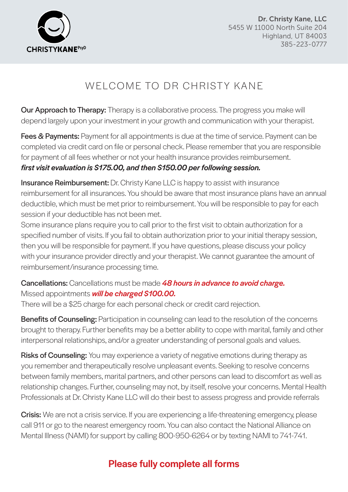

Dr. Christy Kane, LLC 5455 W 11000 North Suite 204 Highland, UT 84003 385-223-0777

# WELCOME TO DR CHRISTY KANE

Our Approach to Therapy: Therapy is a collaborative process. The progress you make will depend largely upon your investment in your growth and communication with your therapist.

Fees & Payments: Payment for all appointments is due at the time of service. Payment can be completed via credit card on file or personal check. Please remember that you are responsible for payment of all fees whether or not your health insurance provides reimbursement. *first visit evaluation is \$175.00, and then \$150.00 per following session.*

Insurance Reimbursement: Dr. Christy Kane LLC is happy to assist with insurance reimbursement for all insurances. You should be aware that most insurance plans have an annual deductible, which must be met prior to reimbursement. You will be responsible to pay for each session if your deductible has not been met.

Some insurance plans require you to call prior to the first visit to obtain authorization for a specified number of visits. If you fail to obtain authorization prior to your initial therapy session, then you will be responsible for payment. If you have questions, please discuss your policy with your insurance provider directly and your therapist. We cannot guarantee the amount of reimbursement/insurance processing time.

Cancellations: Cancellations must be made *48 hours in advance to avoid charge.*  Missed appointments *will be charged \$100.00.*

There will be a \$25 charge for each personal check or credit card rejection.

**Benefits of Counseling:** Participation in counseling can lead to the resolution of the concerns brought to therapy. Further benefits may be a better ability to cope with marital, family and other interpersonal relationships, and/or a greater understanding of personal goals and values.

Risks of Counseling: You may experience a variety of negative emotions during therapy as you remember and therapeutically resolve unpleasant events. Seeking to resolve concerns between family members, marital partners, and other persons can lead to discomfort as well as relationship changes. Further, counseling may not, by itself, resolve your concerns. Mental Health Professionals at Dr. Christy Kane LLC will do their best to assess progress and provide referrals

**Crisis:** We are not a crisis service. If you are experiencing a life-threatening emergency, please call 911 or go to the nearest emergency room. You can also contact the National Alliance on Mental Illness (NAMI) for support by calling 800-950-6264 or by texting NAMI to 741-741.

### Please fully complete all forms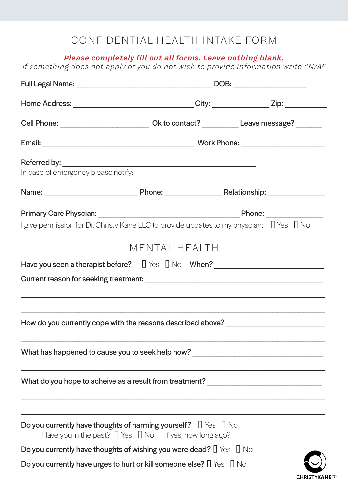### CONFIDENTIAL HEALTH INTAKE FORM

*Please completely fill out all forms. Leave nothing blank.*

*If something does not apply or you do not wish to provide information write "N/A"*

| Home Address: ________________________________City: _____________Zip: __________                 |                                                                                  |    |  |  |
|--------------------------------------------------------------------------------------------------|----------------------------------------------------------------------------------|----|--|--|
| Cell Phone: ________________________________ Ok to contact? ____________ Leave message? ________ |                                                                                  |    |  |  |
|                                                                                                  |                                                                                  |    |  |  |
| In case of emergency please notify:                                                              |                                                                                  |    |  |  |
|                                                                                                  |                                                                                  |    |  |  |
|                                                                                                  |                                                                                  |    |  |  |
| I give permission for Dr. Christy Kane LLC to provide updates to my physcian: Yes No             |                                                                                  |    |  |  |
|                                                                                                  | MENTAL HEALTH                                                                    |    |  |  |
| Have you seen a therapist before? Yes No When?                                                   |                                                                                  |    |  |  |
|                                                                                                  |                                                                                  |    |  |  |
|                                                                                                  |                                                                                  |    |  |  |
|                                                                                                  |                                                                                  |    |  |  |
| How do you currently cope with the reasons described above? ____________________                 |                                                                                  |    |  |  |
|                                                                                                  |                                                                                  |    |  |  |
| What has happened to cause you to seek help now? _______________________________                 |                                                                                  |    |  |  |
|                                                                                                  |                                                                                  |    |  |  |
| What do you hope to acheive as a result from treatment? ________________________                 |                                                                                  |    |  |  |
|                                                                                                  |                                                                                  |    |  |  |
| Do you currently have thoughts of harming yourself? Yes                                          | Have you in the past? Yes No If yes, how long ago? _____________________________ | No |  |  |
| Do you currently have thoughts of wishing you were dead? Yes No                                  |                                                                                  |    |  |  |
| Do you currently have urges to hurt or kill someone else? Yes                                    |                                                                                  | No |  |  |
|                                                                                                  |                                                                                  |    |  |  |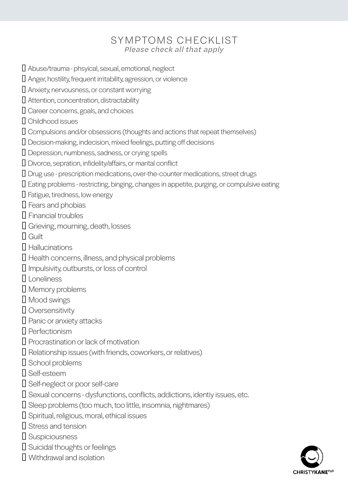### SYMPTOMS CHECKLIST *Please check all that apply*

Abuse/trauma - phsyical, sexual, emotional, neglect Anger, hostility, frequent irritability, agression, or violence Anxiety, nervousness, or constant worrying Attention, concentration, distractability Career concerns, goals, and choices Childhood issues Compulsions and/or obsessions (thoughts and actions that repeat themselves) Decision-making, indecision, mixed feelings, putting off decisions Depression, numbness, sadness, or crying spells Divorce, sepration, infidelity/affairs, or marital conflict Drug use - prescription medications, over-the-counter medications, street drugs Eating problems - restricting, binging, changes in appetite, purging, or compulsive eating Fatigue, tiredness, low energy Fears and phobias Financial troubles Grieving, mourning, death, losses Guilt **Hallucinations** Health concerns, illness, and physical problems Impulsivity, outbursts, or loss of control ☐ Loneliness Memory problems Mood swings **Oversensitivity** Panic or anxiety attacks **Perfectionism** Procrastination or lack of motivation Relationship issues (with friends, coworkers, or relatives) School problems Self-esteem Self-neglect or poor self-care Sexual concerns - dysfunctions, conflicts, addictions, identiy issues, etc. Sleep problems (too much, too little, insomnia, nightmares) Spiritual, religious, moral, ethical issues Stress and tension **Suspiciousness** Suicidal thoughts or feelings Withdrawal and isolation

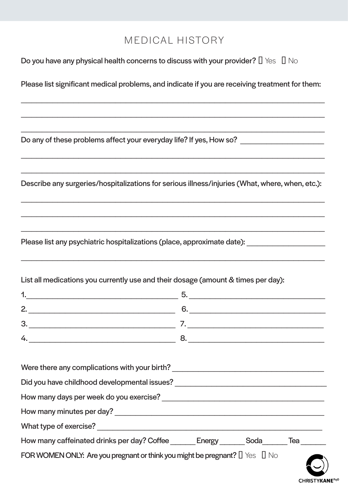### MEDICAL HISTORY

Do you have any physical health concerns to discuss with your provider? Yes No

Please list significant medical problems, and indicate if you are receiving treatment for them:

\_\_\_\_\_\_\_\_\_\_\_\_\_\_\_\_\_\_\_\_\_\_\_\_\_\_\_\_\_\_\_\_\_\_\_\_\_\_\_\_\_\_\_\_\_\_\_\_\_\_\_\_\_\_\_\_\_\_

 $\_$  , and the set of the set of the set of the set of the set of the set of the set of the set of the set of the set of the set of the set of the set of the set of the set of the set of the set of the set of the set of th

 $\_$  , and the set of the set of the set of the set of the set of the set of the set of the set of the set of the set of the set of the set of the set of the set of the set of the set of the set of the set of the set of th

 $\_$  , and the set of the set of the set of the set of the set of the set of the set of the set of the set of the set of the set of the set of the set of the set of the set of the set of the set of the set of the set of th

\_\_\_\_\_\_\_\_\_\_\_\_\_\_\_\_\_\_\_\_\_\_\_\_\_\_\_\_\_\_\_\_\_\_\_\_\_\_\_\_\_\_\_\_\_\_\_\_\_\_\_\_\_\_\_\_\_\_

Do any of these problems affect your everyday life? If yes, How so? \_\_\_\_\_\_\_\_\_\_\_\_

Describe any surgeries/hospitalizations for serious illness/injuries (What, where, when, etc.):

 $\_$  , and the set of the set of the set of the set of the set of the set of the set of the set of the set of the set of the set of the set of the set of the set of the set of the set of the set of the set of the set of th

\_\_\_\_\_\_\_\_\_\_\_\_\_\_\_\_\_\_\_\_\_\_\_\_\_\_\_\_\_\_\_\_\_\_\_\_\_\_\_\_\_\_\_\_\_\_\_\_\_\_\_\_\_\_\_\_\_\_

 $\_$  , and the set of the set of the set of the set of the set of the set of the set of the set of the set of the set of the set of the set of the set of the set of the set of the set of the set of the set of the set of th

\_\_\_\_\_\_\_\_\_\_\_\_\_\_\_\_\_\_\_\_\_\_\_\_\_\_\_\_\_\_\_\_\_\_\_\_\_\_\_\_\_\_\_\_\_\_\_\_\_\_\_\_\_\_\_\_\_\_

Please list any psychiatric hospitalizations (place, approximate date):

List all medications you currently use and their dosage (amount & times per day):

| n      |  |
|--------|--|
| o<br>╰ |  |
|        |  |

| Were there any complications with your birth?                        |      |    |     |  |
|----------------------------------------------------------------------|------|----|-----|--|
| Did you have childhood developmental issues?                         |      |    |     |  |
| How many days per week do you exercise?                              |      |    |     |  |
| How many minutes per day?                                            |      |    |     |  |
| What type of exercise?                                               |      |    |     |  |
| How many caffeinated drinks per day? Coffee<br>Energy                | Soda |    | Tea |  |
| FOR WOMEN ONLY: Are you pregnant or think you might be pregnant? Yes |      | No |     |  |

**CHRISTYKANEPsyD**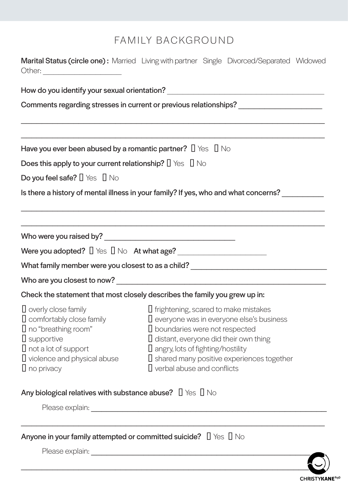# FAMILY BACKGROUND

|                                                                                                                                                           | Marital Status (circle one): Married Living with partner Single Divorced/Separated Widowed                                                                                                                                                                                 |
|-----------------------------------------------------------------------------------------------------------------------------------------------------------|----------------------------------------------------------------------------------------------------------------------------------------------------------------------------------------------------------------------------------------------------------------------------|
|                                                                                                                                                           |                                                                                                                                                                                                                                                                            |
|                                                                                                                                                           |                                                                                                                                                                                                                                                                            |
| Have you ever been abused by a romantic partner?                                                                                                          | Yes<br>- No                                                                                                                                                                                                                                                                |
| <b>Does this apply to your current relationship?</b> Yes                                                                                                  | <b>No</b>                                                                                                                                                                                                                                                                  |
| Do you feel safe? Yes No                                                                                                                                  |                                                                                                                                                                                                                                                                            |
|                                                                                                                                                           | Is there a history of mental illness in your family? If yes, who and what concerns?                                                                                                                                                                                        |
|                                                                                                                                                           |                                                                                                                                                                                                                                                                            |
|                                                                                                                                                           |                                                                                                                                                                                                                                                                            |
|                                                                                                                                                           | What family member were you closest to as a child? _____________________________                                                                                                                                                                                           |
|                                                                                                                                                           |                                                                                                                                                                                                                                                                            |
| Check the statement that most closely describes the family you grew up in:                                                                                |                                                                                                                                                                                                                                                                            |
| overly close family<br>comfortably close family<br>no "breathing room"<br>supportive<br>not a lot of support<br>violence and physical abuse<br>no privacy | frightening, scared to make mistakes<br>everyone was in everyone else's business<br>boundaries were not respected<br>distant, everyone did their own thing<br>angry, lots of fighting/hostility<br>shared many positive experiences together<br>verbal abuse and conflicts |
| Any biological relatives with substance abuse? Yes                                                                                                        | No                                                                                                                                                                                                                                                                         |
| Anyone in your family attempted or committed suicide?                                                                                                     | <b>No</b><br>Yes                                                                                                                                                                                                                                                           |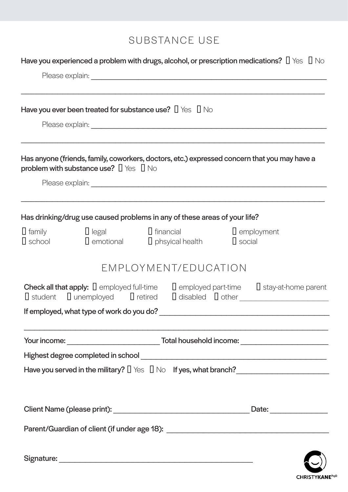# SUBSTANCE USE

|                  |                                                                       | Have you experienced a problem with drugs, alcohol, or prescription medications?                     |                                        |            | Yes | No |
|------------------|-----------------------------------------------------------------------|------------------------------------------------------------------------------------------------------|----------------------------------------|------------|-----|----|
|                  | Have you ever been treated for substance use? Yes                     |                                                                                                      | No                                     |            |     |    |
|                  | problem with substance use? Yes                                       | Has anyone (friends, family, coworkers, doctors, etc.) expressed concern that you may have a<br>- No |                                        |            |     |    |
|                  |                                                                       | Has drinking/drug use caused problems in any of these areas of your life?                            |                                        |            |     |    |
| family<br>school | legal<br>emotional                                                    | financial<br>phsyical health                                                                         | social                                 | employment |     |    |
|                  |                                                                       | EMPLOYMENT/EDUCATION                                                                                 |                                        |            |     |    |
| student          | <b>Check all that apply:</b> employed full-time<br>unemployed retired |                                                                                                      | employed part-time stay-at-home parent |            |     |    |
|                  | If employed, what type of work do you do?                             |                                                                                                      |                                        |            |     |    |
|                  |                                                                       |                                                                                                      |                                        |            |     |    |
|                  |                                                                       | Have you served in the military? Yes No If yes, what branch?                                         |                                        |            |     |    |
|                  |                                                                       |                                                                                                      |                                        |            |     |    |
|                  |                                                                       |                                                                                                      |                                        |            |     |    |
|                  |                                                                       |                                                                                                      |                                        |            |     |    |

CHRISTYKANE<sup>PsyD</sup>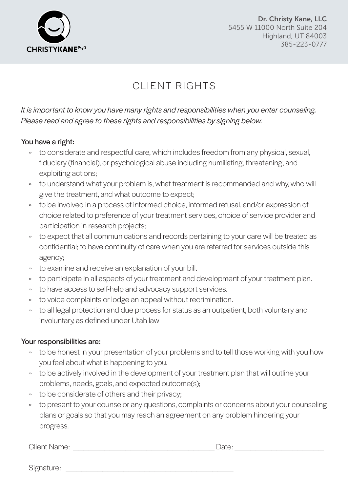

Dr. Christy Kane, LLC 5455 W 11000 North Suite 204 Highland, UT 84003 385-223-0777

# CLIENT RIGHTS

*It is important to know you have many rights and responsibilities when you enter counseling. Please read and agree to these rights and responsibilities by signing below.* 

### You have a right:

- » to considerate and respectful care, which includes freedom from any physical, sexual, fiduciary (financial), or psychological abuse including humiliating, threatening, and exploiting actions;
- » to understand what your problem is, what treatment is recommended and why, who will give the treatment, and what outcome to expect;
- » to be involved in a process of informed choice, informed refusal, and/or expression of choice related to preference of your treatment services, choice of service provider and participation in research projects;
- » to expect that all communications and records pertaining to your care will be treated as confidential; to have continuity of care when you are referred for services outside this agency;
- » to examine and receive an explanation of your bill.
- » to participate in all aspects of your treatment and development of your treatment plan.
- » to have access to self-help and advocacy support services.
- » to voice complaints or lodge an appeal without recrimination.
- » to all legal protection and due process for status as an outpatient, both voluntary and involuntary, as defined under Utah law

### Your responsibilities are:

- » to be honest in your presentation of your problems and to tell those working with you how you feel about what is happening to you.
- » to be actively involved in the development of your treatment plan that will outline your problems, needs, goals, and expected outcome(s);
- » to be considerate of others and their privacy;
- » to present to your counselor any questions, complaints or concerns about your counseling plans or goals so that you may reach an agreement on any problem hindering your progress.

Client Name: \_\_\_\_\_\_\_\_\_\_\_\_\_\_\_\_\_\_\_\_\_\_\_\_\_\_\_ Date: \_\_\_\_\_\_\_\_\_\_\_\_\_\_\_\_\_

Signature: \_\_\_\_\_\_\_\_\_\_\_\_\_\_\_\_\_\_\_\_\_\_\_\_\_\_\_\_\_\_\_\_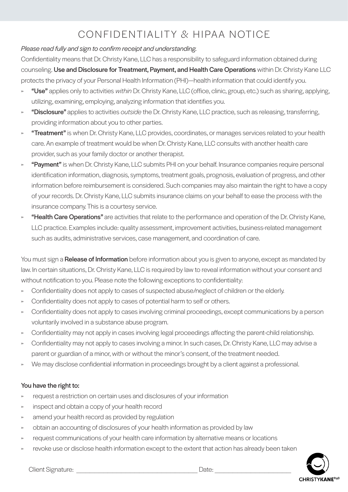# CONFIDENTIALITY & HIPAA NOTICE

#### *Please read fully and sign to confirm receipt and understanding.*

Confidentiality means that Dr. Christy Kane, LLC has a responsibility to safeguard information obtained during counseling. Use and Disclosure for Treatment, Payment, and Health Care Operations within Dr. Christy Kane LLC protects the privacy of your Personal Health Information (PHI)—health information that could identify you.

- » "Use" applies only to activities *within* Dr. Christy Kane, LLC (office, clinic, group, etc.) such as sharing, applying, utilizing, examining, employing, analyzing information that identifies you.
- » "Disclosure" applies to activities *outside* the Dr. Christy Kane, LLC practice, such as releasing, transferring, providing information about you to other parties.
- » **"Treatment"** is when Dr. Christy Kane, LLC provides, coordinates, or manages services related to your health care. An example of treatment would be when Dr. Christy Kane, LLC consults with another health care provider, such as your family doctor or another therapist.
- "Payment" is when Dr. Christy Kane, LLC submits PHI on your behalf. Insurance companies require personal identification information, diagnosis, symptoms, treatment goals, prognosis, evaluation of progress, and other information before reimbursement is considered. Such companies may also maintain the right to have a copy of your records. Dr. Christy Kane, LLC submits insurance claims on your behalf to ease the process with the insurance company. This is a courtesy service.
- "Health Care Operations" are activities that relate to the performance and operation of the Dr. Christy Kane, LLC practice. Examples include: quality assessment, improvement activities, business-related management such as audits, administrative services, case management, and coordination of care.

You must sign a Release of Information before information about you is given to anyone, except as mandated by law. In certain situations, Dr. Christy Kane, LLC is required by law to reveal information without your consent and without notification to you. Please note the following exceptions to confidentiality:

- » Confidentiality does not apply to cases of suspected abuse/neglect of children or the elderly.
- Confidentiality does not apply to cases of potential harm to self or others.
- » Confidentiality does not apply to cases involving criminal proceedings, except communications by a person voluntarily involved in a substance abuse program.
- » Confidentiality may not apply in cases involving legal proceedings affecting the parent-child relationship.
- » Confidentiality may not apply to cases involving a minor. In such cases, Dr. Christy Kane, LLC may advise a parent or guardian of a minor, with or without the minor's consent, of the treatment needed.
- » We may disclose confidential information in proceedings brought by a client against a professional.

#### You have the right to:

- » request a restriction on certain uses and disclosures of your information
- inspect and obtain a copy of your health record
- amend your health record as provided by regulation
- » obtain an accounting of disclosures of your health information as provided by law
- » request communications of your health care information by alternative means or locations
- revoke use or disclose health information except to the extent that action has already been taken



Client Signature: <u>Date:</u> 2014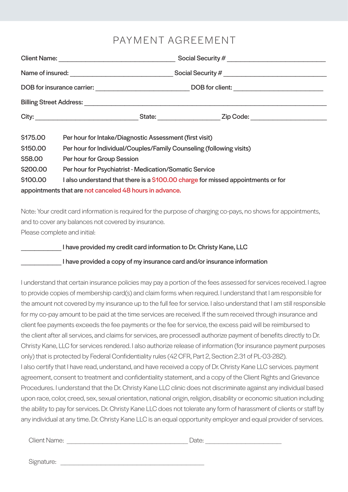### PAYMENT AGREEMENT

|          | Client Name: <u>__________________________________</u>                           |  |  |
|----------|----------------------------------------------------------------------------------|--|--|
|          |                                                                                  |  |  |
|          |                                                                                  |  |  |
|          |                                                                                  |  |  |
|          | State: Zip Code:                                                                 |  |  |
| \$175.00 | Per hour for Intake/Diagnostic Assessment (first visit)                          |  |  |
| \$150.00 | Per hour for Individual/Couples/Family Counseling (following visits)             |  |  |
| \$58.00  | Per hour for Group Session                                                       |  |  |
| \$200.00 | Per hour for Psychiatrist - Medication/Somatic Service                           |  |  |
| \$100.00 | I also understand that there is a \$100.00 charge for missed appointments or for |  |  |
|          | appointments that are not canceled 48 hours in advance.                          |  |  |

Note: Your credit card information is required for the purpose of charging co-pays, no shows for appointments, and to cover any balances not covered by insurance. Please complete and initial:

#### I have provided my credit card information to Dr. Christy Kane, LLC

#### I have provided a copy of my insurance card and/or insurance information

I understand that certain insurance policies may pay a portion of the fees assessed for services received. I agree to provide copies of membership card(s) and claim forms when required. I understand that I am responsible for the amount not covered by my insurance up to the full fee for service. I also understand that I am still responsible for my co-pay amount to be paid at the time services are received. If the sum received through insurance and client fee payments exceeds the fee payments or the fee for service, the excess paid will be reimbursed to the client after all services, and claims for services, are processedI authorize payment of benefits directly to Dr. Christy Kane, LLC for services rendered. I also authorize release of information (for insurance payment purposes only) that is protected by Federal Confidentiality rules (42 CFR, Part 2, Section 2.31 of PL-03-282). I also certify that I have read, understand, and have received a copy of Dr. Christy Kane LLC services. payment agreement, consent to treatment and confidentiality statement, and a copy of the Client Rights and Grievance Procedures. I understand that the Dr. Christy Kane LLC clinic does not discriminate against any individual based upon race, color, creed, sex, sexual orientation, national origin, religion, disability or economic situation including the ability to pay for services. Dr. Christy Kane LLC does not tolerate any form of harassment of clients or staff by any individual at any time. Dr. Christy Kane LLC is an equal opportunity employer and equal provider of services.

Client Name: \_\_\_\_\_\_\_\_\_\_\_\_\_\_\_\_\_\_\_\_\_\_\_\_\_\_\_ Date: \_\_\_\_\_\_\_\_\_\_\_\_\_\_\_\_\_

| ۹<br>. .<br>×<br>۰.<br>w |
|--------------------------|
|--------------------------|

Signature: \_\_\_\_\_\_\_\_\_\_\_\_\_\_\_\_\_\_\_\_\_\_\_\_\_\_\_\_\_\_\_\_